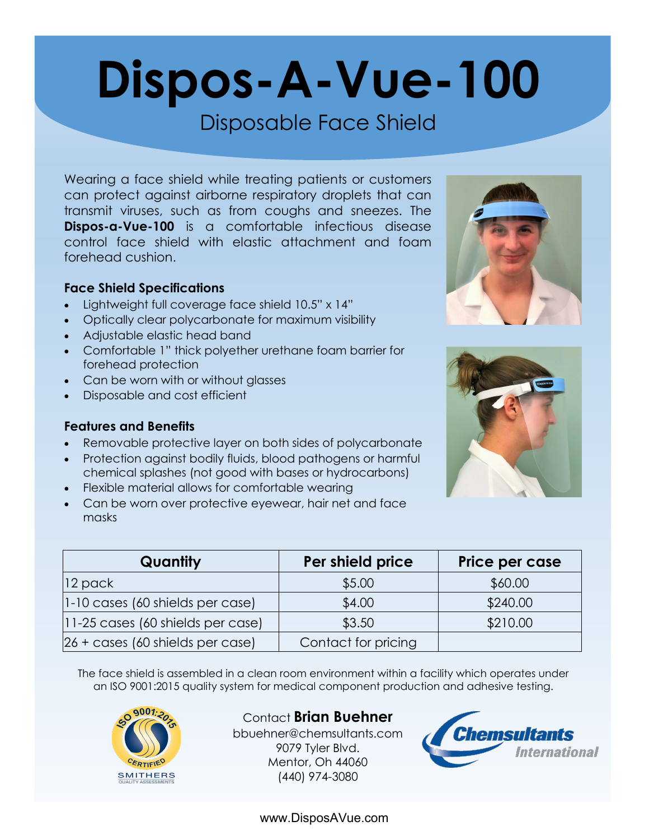# **Dispos-A-Vue-100**

### Disposable Face Shield

Wearing a face shield while treating patients or customers can protect against airborne respiratory droplets that can transmit viruses, such as from coughs and sneezes. The **Dispos-a-Vue-100** is a comfortable infectious disease control face shield with elastic attachment and foam forehead cushion.

#### **Face Shield Specifications**

- Lightweight full coverage face shield 10.5" x 14"
- Optically clear polycarbonate for maximum visibility
- Adjustable elastic head band
- Comfortable 1" thick polyether urethane foam barrier for forehead protection
- Can be worn with or without glasses
- Disposable and cost efficient

#### **Features and Benefits**

- Removable protective layer on both sides of polycarbonate
- Protection against bodily fluids, blood pathogens or harmful chemical splashes (not good with bases or hydrocarbons)
- Flexible material allows for comfortable wearing
- Can be worn over protective eyewear, hair net and face masks



| Quantity                                     | Per shield price    | Price per case |
|----------------------------------------------|---------------------|----------------|
| $ 12 \text{ pack} $                          | \$5.00              | \$60.00        |
| 1-10 cases (60 shields per case)             | \$4.00              | \$240.00       |
| $ 11-25 \text{ cases}$ (60 shields per case) | \$3.50              | \$210.00       |
| $26 + \csc(60 \text{ shields per case})$     | Contact for pricing |                |

The face shield is assembled in a clean room environment within a facility which operates under an ISO 9001:2015 quality system for medical component production and adhesive testing.



Contact **Brian Buehner** bbuehner@chemsultants.com 9079 Tyler Blvd. Mentor, Oh 44060 (440) 974-3080



www.DisposAVue.com